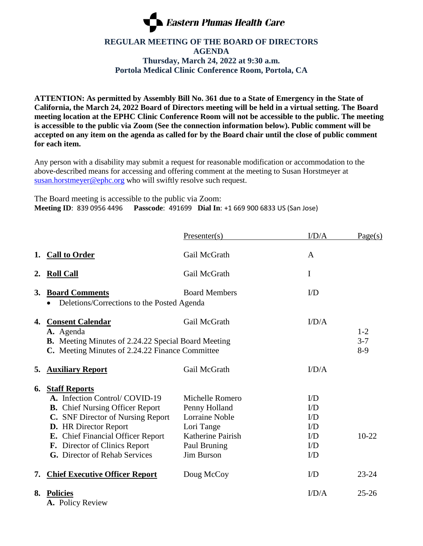

## **REGULAR MEETING OF THE BOARD OF DIRECTORS AGENDA Thursday, March 24, 2022 at 9:30 a.m. Portola Medical Clinic Conference Room, Portola, CA**

**ATTENTION: As permitted by Assembly Bill No. 361 due to a State of Emergency in the State of California, the March 24, 2022 Board of Directors meeting will be held in a virtual setting. The Board meeting location at the EPHC Clinic Conference Room will not be accessible to the public. The meeting is accessible to the public via Zoom (See the connection information below). Public comment will be accepted on any item on the agenda as called for by the Board chair until the close of public comment for each item.**

Any person with a disability may submit a request for reasonable modification or accommodation to the above-described means for accessing and offering comment at the meeting to Susan Horstmeyer at [susan.horstmeyer@ephc.org](mailto:susan.horstmeyer@ephc.org) who will swiftly resolve such request.

The Board meeting is accessible to the public via Zoom: **Meeting ID**: 839 0956 4496 **Passcode**: 491699 **Dial In**: +1 669 900 6833 US (San Jose)

|    |                                                                                                                                                                                                                                                                                    | Presenter(s)                                                                                                               | I/D/A                                                                                   | Page(s)                   |
|----|------------------------------------------------------------------------------------------------------------------------------------------------------------------------------------------------------------------------------------------------------------------------------------|----------------------------------------------------------------------------------------------------------------------------|-----------------------------------------------------------------------------------------|---------------------------|
|    | 1. Call to Order                                                                                                                                                                                                                                                                   | Gail McGrath                                                                                                               | A                                                                                       |                           |
| 2. | <b>Roll Call</b>                                                                                                                                                                                                                                                                   | Gail McGrath                                                                                                               | I                                                                                       |                           |
| 3. | <b>Board Comments</b><br>Deletions/Corrections to the Posted Agenda                                                                                                                                                                                                                | <b>Board Members</b>                                                                                                       |                                                                                         |                           |
| 4. | <b>Consent Calendar</b><br>A. Agenda<br>B. Meeting Minutes of 2.24.22 Special Board Meeting<br>C. Meeting Minutes of 2.24.22 Finance Committee                                                                                                                                     | Gail McGrath                                                                                                               | I/D/A                                                                                   | $1-2$<br>$3 - 7$<br>$8-9$ |
| 5. | <b>Auxiliary Report</b>                                                                                                                                                                                                                                                            | Gail McGrath                                                                                                               | I/D/A                                                                                   |                           |
| 6. | <b>Staff Reports</b><br>A. Infection Control/COVID-19<br><b>B.</b> Chief Nursing Officer Report<br>C. SNF Director of Nursing Report<br><b>D.</b> HR Director Report<br>E. Chief Financial Officer Report<br>F. Director of Clinics Report<br><b>G.</b> Director of Rehab Services | Michelle Romero<br>Penny Holland<br><b>Lorraine Noble</b><br>Lori Tange<br>Katherine Pairish<br>Paul Bruning<br>Jim Burson | $1/D$<br>$\rm{UD}$<br>$\mathbf{L}^{\prime}$<br>$1/D$<br>$1/D$<br>$\mathbf{ID}$<br>$1/D$ | $10-22$                   |
| 7. | <b>Chief Executive Officer Report</b>                                                                                                                                                                                                                                              | Doug McCoy                                                                                                                 | $\rm{UD}$                                                                               | $23 - 24$                 |
| 8. | <b>Policies</b><br>A. Policy Review                                                                                                                                                                                                                                                |                                                                                                                            | I/D/A                                                                                   | $25 - 26$                 |